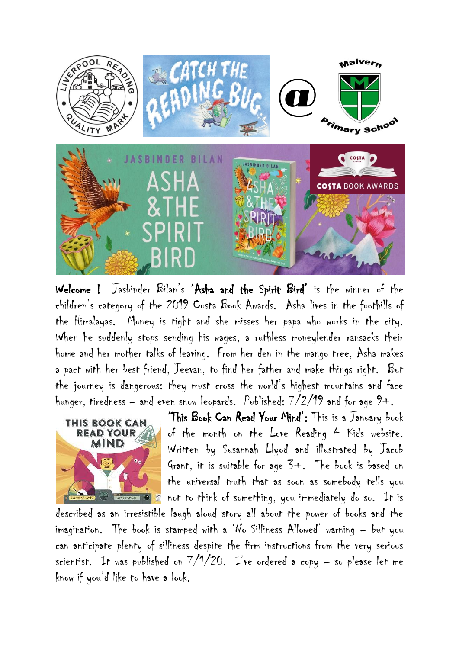

Welcome ! Jasbinder Bilan's 'Asha and the Spirit Bird' is the winner of the children's category of the 2019 Costa Book Awards. Asha lives in the foothills of the Himalayas. Money is tight and she misses her papa who works in the city. When he suddenly stops sending his wages, a ruthless moneylender ransacks their home and her mother talks of leaving. From her den in the mango tree, Asha makes a pact with her best friend, Jeevan, to find her father and make things right. But the journey is dangerous: they must cross the world's highest mountains and face hunger, tiredness – and even snow leopards. Published:  $7/2/19$  and for age  $9+$ .



'This Book Can Read Your Mind': This is a January book of the month on the Love Reading 4 Kids website. Written by Susannah Llyod and illustrated by Jacob Grant, it is suitable for age 3+. The book is based on the universal truth that as soon as somebody tells you  $\Box$ REGESCAND TO  $\mathbb{S}$  not to think of something, you immediately do so. It is

described as an irresistible laugh aloud story all about the power of books and the imagination. The book is stamped with a 'No Silliness Allowed' warning – but you can anticipate plenty of silliness despite the firm instructions from the very serious scientist. It was published on  $7/1/20$ . I've ordered a copy – so please let me know if you'd like to have a look.